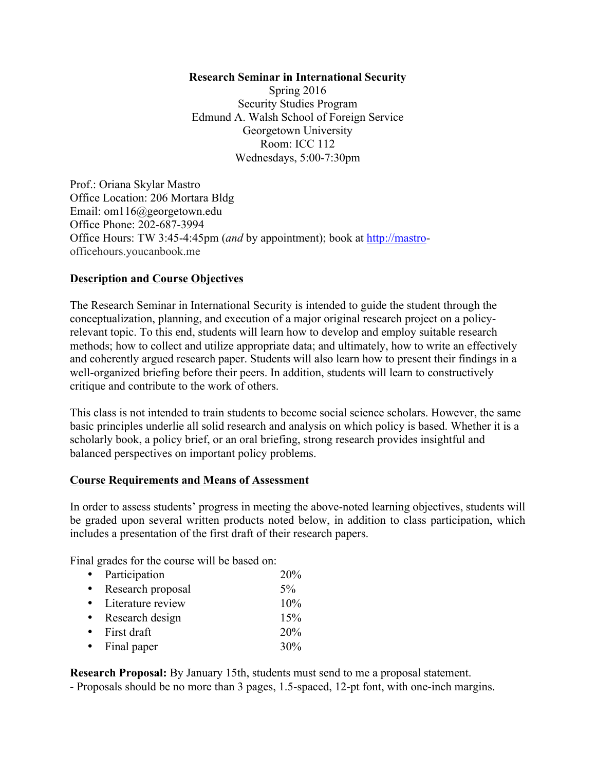## **Research Seminar in International Security**

Spring 2016 Security Studies Program Edmund A. Walsh School of Foreign Service Georgetown University Room: ICC 112 Wednesdays, 5:00-7:30pm

Prof.: Oriana Skylar Mastro Office Location: 206 Mortara Bldg Email: om116@georgetown.edu Office Phone: 202-687-3994 Office Hours: TW 3:45-4:45pm (*and* by appointment); book at http://mastroofficehours.youcanbook.me

## **Description and Course Objectives**

The Research Seminar in International Security is intended to guide the student through the conceptualization, planning, and execution of a major original research project on a policyrelevant topic. To this end, students will learn how to develop and employ suitable research methods; how to collect and utilize appropriate data; and ultimately, how to write an effectively and coherently argued research paper. Students will also learn how to present their findings in a well-organized briefing before their peers. In addition, students will learn to constructively critique and contribute to the work of others.

This class is not intended to train students to become social science scholars. However, the same basic principles underlie all solid research and analysis on which policy is based. Whether it is a scholarly book, a policy brief, or an oral briefing, strong research provides insightful and balanced perspectives on important policy problems.

## **Course Requirements and Means of Assessment**

In order to assess students' progress in meeting the above-noted learning objectives, students will be graded upon several written products noted below, in addition to class participation, which includes a presentation of the first draft of their research papers.

Final grades for the course will be based on:

|           | Participation       | 20%   |
|-----------|---------------------|-------|
|           | Research proposal   | $5\%$ |
|           | • Literature review | 10%   |
|           | Research design     | 15%   |
|           | First draft         | 20%   |
| $\bullet$ | Final paper         | 30%   |
|           |                     |       |

**Research Proposal:** By January 15th, students must send to me a proposal statement.

- Proposals should be no more than 3 pages, 1.5-spaced, 12-pt font, with one-inch margins.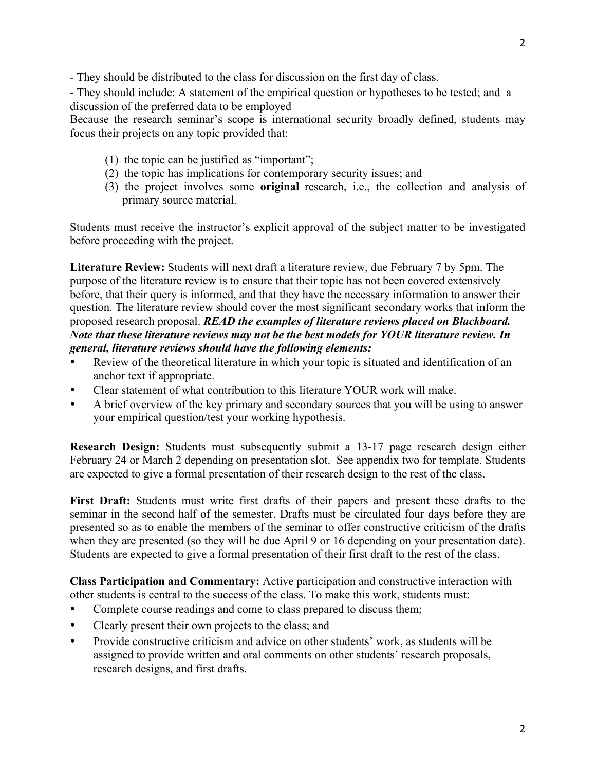- They should be distributed to the class for discussion on the first day of class.

- They should include: A statement of the empirical question or hypotheses to be tested; and a discussion of the preferred data to be employed

Because the research seminar's scope is international security broadly defined, students may focus their projects on any topic provided that:

- (1) the topic can be justified as "important";
- (2) the topic has implications for contemporary security issues; and
- (3) the project involves some **original** research, i.e., the collection and analysis of primary source material.

Students must receive the instructor's explicit approval of the subject matter to be investigated before proceeding with the project.

**Literature Review:** Students will next draft a literature review, due February 7 by 5pm. The purpose of the literature review is to ensure that their topic has not been covered extensively before, that their query is informed, and that they have the necessary information to answer their question. The literature review should cover the most significant secondary works that inform the proposed research proposal. *READ the examples of literature reviews placed on Blackboard. Note that these literature reviews may not be the best models for YOUR literature review. In general, literature reviews should have the following elements:* 

- Review of the theoretical literature in which your topic is situated and identification of an anchor text if appropriate.
- Clear statement of what contribution to this literature YOUR work will make.
- A brief overview of the key primary and secondary sources that you will be using to answer your empirical question/test your working hypothesis.

**Research Design:** Students must subsequently submit a 13-17 page research design either February 24 or March 2 depending on presentation slot. See appendix two for template. Students are expected to give a formal presentation of their research design to the rest of the class.

**First Draft:** Students must write first drafts of their papers and present these drafts to the seminar in the second half of the semester. Drafts must be circulated four days before they are presented so as to enable the members of the seminar to offer constructive criticism of the drafts when they are presented (so they will be due April 9 or 16 depending on your presentation date). Students are expected to give a formal presentation of their first draft to the rest of the class.

**Class Participation and Commentary:** Active participation and constructive interaction with other students is central to the success of the class. To make this work, students must:

- Complete course readings and come to class prepared to discuss them;
- Clearly present their own projects to the class; and
- Provide constructive criticism and advice on other students' work, as students will be assigned to provide written and oral comments on other students' research proposals, research designs, and first drafts.